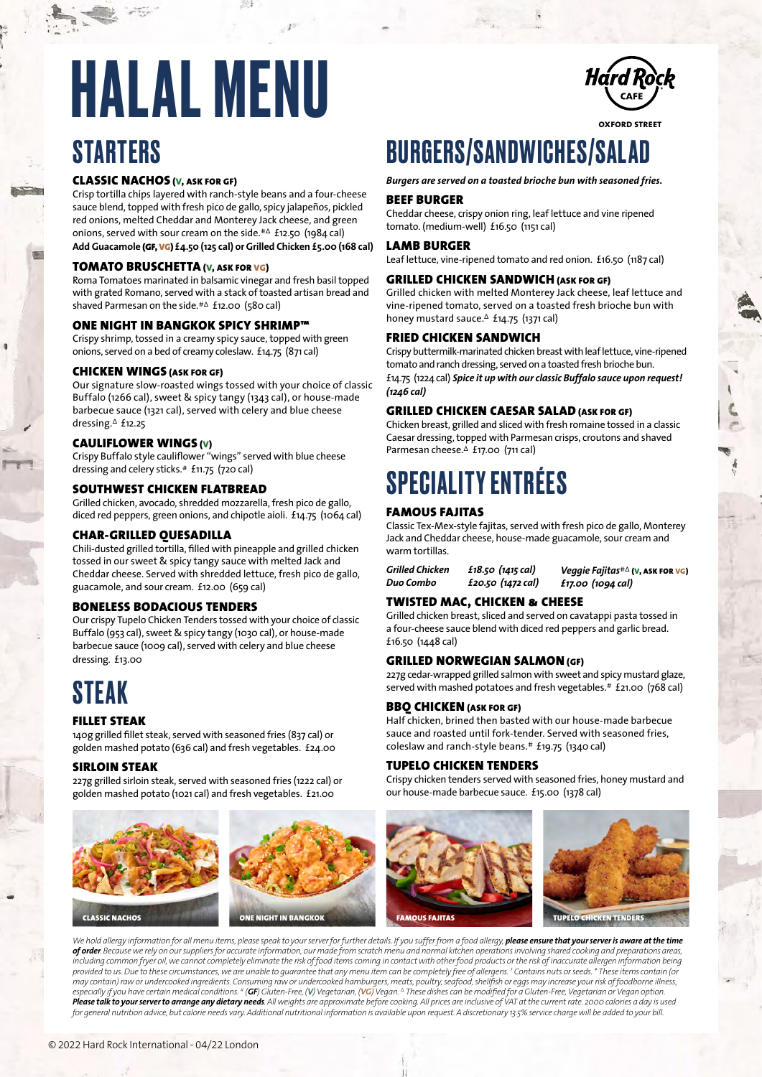## **STARTERS HALAL MENU** *Hard Rock*

#### CLASSIC NACHOS (V, ASK FOR GF)

Crisp tortilla chips layered with ranch-style beans and a four-cheese sauce blend, topped with fresh pico de gallo, spicy jalapeños, pickled red onions, melted Cheddar and Monterey Jack cheese, and green onions, served with sour cream on the side.#∆ £12.50 (1984 cal) **Add Guacamole** (GF, VG) **£4.50 (125 cal) or Grilled Chicken £5.00 (168 cal)** 

#### TOMATO BRUSCHETTA (V, ASK FOR VG)

Roma Tomatoes marinated in balsamic vinegar and fresh basil topped with grated Romano, served with a stack of toasted artisan bread and shaved Parmesan on the side.#∆ £12.00 (580 cal)

#### ONE NIGHT IN BANGKOK SPICY SHRIMP™

Crispy shrimp, tossed in a creamy spicy sauce, topped with green onions, served on a bed of creamy coleslaw. £14.75 (871 cal)

#### CHICKEN WINGS (ASK FOR GF)

Our signature slow-roasted wings tossed with your choice of classic Buffalo (1266 cal), sweet & spicy tangy (1343 cal), or house-made barbecue sauce (1321 cal), served with celery and blue cheese dressing.∆ £12.25

#### CAULIFLOWER WINGS (V)

Crispy Buffalo style cauliflower "wings" served with blue cheese dressing and celery sticks.# £11.75 (720 cal)

#### SOUTHWEST CHICKEN FLATBREAD

Grilled chicken, avocado, shredded mozzarella, fresh pico de gallo, diced red peppers, green onions, and chipotle aioli. £14.75 (1064 cal)

#### CHAR-GRILLED QUESADILLA

Chili-dusted grilled tortilla, filled with pineapple and grilled chicken tossed in our sweet & spicy tangy sauce with melted Jack and Cheddar cheese. Served with shredded lettuce, fresh pico de gallo, guacamole, and sour cream. £12.00 (659 cal)

#### BONELESS BODACIOUS TENDERS

Our crispy Tupelo Chicken Tenders tossed with your choice of classic Buffalo (953 cal), sweet & spicy tangy (1030 cal), or house-made barbecue sauce (1009 cal), served with celery and blue cheese dressing. £13.00

## STEAK

#### FILLET STEAK

140g grilled fillet steak, served with seasoned fries (837 cal) or golden mashed potato (636 cal) and fresh vegetables. £24.00

#### SIRLOIN STEAK

227g grilled sirloin steak, served with seasoned fries (1222 cal) or golden mashed potato (1021 cal) and fresh vegetables. £21.00



## BURGERS/SANDWICHES/SALAD

#### *Burgers are served on a toasted brioche bun with seasoned fries.*

#### BEEF BURGER

Cheddar cheese, crispy onion ring, leaf lettuce and vine ripened tomato. (medium-well) £16.50 (1151 cal)

#### LAMB BURGER

Leaf lettuce, vine-ripened tomato and red onion. £16.50 (1187 cal)

#### GRILLED CHICKEN SANDWICH (ASK FOR GF)

Grilled chicken with melted Monterey Jack cheese, leaf lettuce and vine-ripened tomato, served on a toasted fresh brioche bun with honey mustard sauce.∆ £14.75 (1371 cal)

#### FRIED CHICKEN SANDWICH

Crispy buttermilk-marinated chicken breast with leaf lettuce, vine-ripened tomato and ranch dressing, served on a toasted fresh brioche bun. £14.75 (1224 cal) *Spice it up with our classic Buffalo sauce upon request! (1246 cal)*

#### GRILLED CHICKEN CAESAR SALAD (ASK FOR GF)

Chicken breast, grilled and sliced with fresh romaine tossed in a classic Caesar dressing, topped with Parmesan crisps, croutons and shaved Parmesan cheese.∆ £17.00 (711 cal)

## SPECIALITY ENTRÉES

#### FAMOUS FAJITAS

Classic Tex-Mex-style fajitas, served with fresh pico de gallo, Monterey Jack and Cheddar cheese, house-made guacamole, sour cream and warm tortillas.

*Grilled Chicken £18.50 (1415 cal) Duo Combo £20.50 (1472 cal)*

*Veggie Fajitas*#∆ (V, ASK FOR VG)

#### TWISTED MAC, CHICKEN & CHEESE

Grilled chicken breast, sliced and served on cavatappi pasta tossed in a four-cheese sauce blend with diced red peppers and garlic bread. £16.50 (1448 cal)

#### GRILLED NORWEGIAN SALMON (GF)

227g cedar-wrapped grilled salmon with sweet and spicy mustard glaze, served with mashed potatoes and fresh vegetables.# £21.00 (768 cal)

#### BBQ CHICKEN (ASK FOR GF)

Half chicken, brined then basted with our house-made barbecue sauce and roasted until fork-tender. Served with seasoned fries, coleslaw and ranch-style beans.# £19.75 (1340 cal)

#### TUPELO CHICKEN TENDERS

Crispy chicken tenders served with seasoned fries, honey mustard and our house-made barbecue sauce. £15.00 (1378 cal)



We hold allergy information for all menu items, please speak to your server for further details. If you suffer from a food allergy, **please ensure that your server is aware at the time** *of order. Because we rely on our suppliers for accurate information, our made from scratch menu and normal kitchen operations involving shared cooking and preparations areas, including common fryer oil, we cannot completely eliminate the risk of food items coming in contact with other food products or the risk of inaccurate allergen information being provided to us. Due to these circumstances, we are unable to guarantee that any menu item can be completely free of allergens. † Contains nuts or seeds. \* These items contain (or*  may contain) raw or undercooked ingredients. Consuming raw or undercooked hamburgers, meats, poultry, seafood, shellfish or eggs may increase your risk of foodborne illness,<br>especially if you have certain medical condition *Please talk to your server to arrange any dietary needs. All weights are approximate before cooking. All prices are inclusive of VAT at the current rate. 2000 calories a day is used for general nutrition advice, but calorie needs vary. Additional nutritional information is available upon request. A discretionary 13.5% service charge will be added to your bill.*

*£17.00 (1094 cal)*